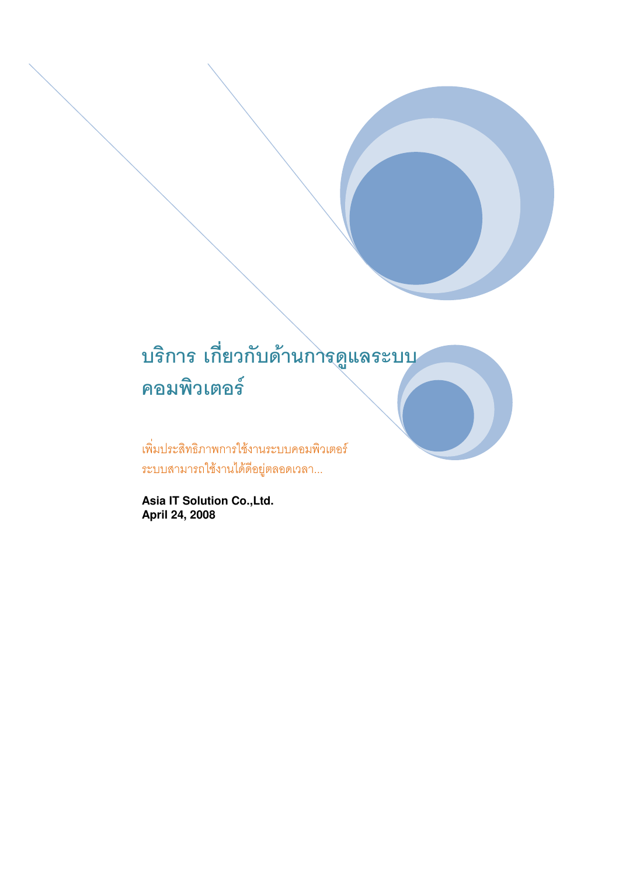## บริการ เกี่ยวกับด้านการดูแลระบบ คอมพิวเตอร์

เพิ่มประสิทธิภาพการใช้งานระบบคอมพิวเตอร์ ระบบสามารถใช้งานได้ดีอยู่ตลอดเวลา...

**Asia IT Solution Co.,Ltd. April 24, 2008**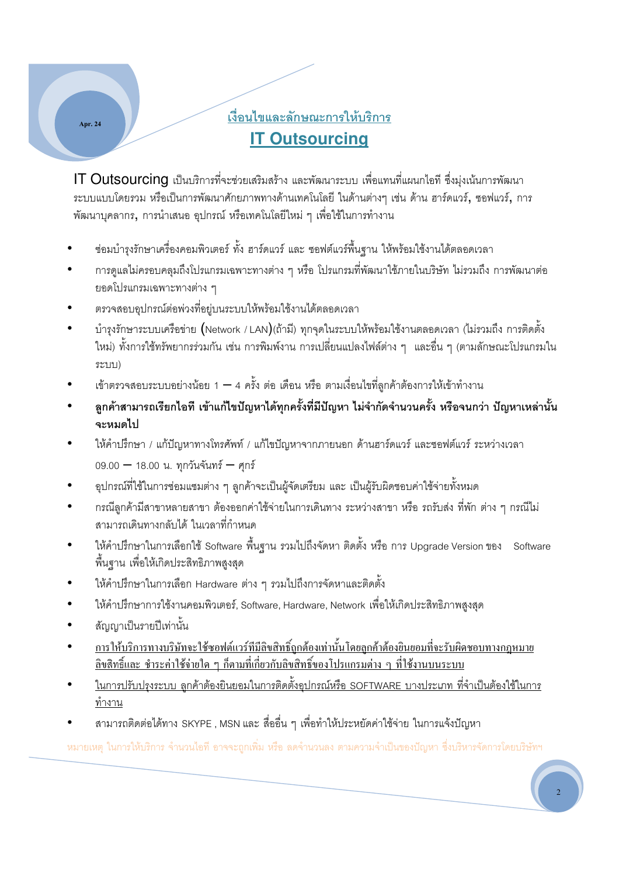### <u>เงื่อนไขและลักษณะการให้บริการ</u> **IT Outsourcing**

 $\textsf{IT}$  Outsourcing เป็นบริการที่จะช่วยเสริมสร้าง และพัฒนาระบบ เพื่อแทนที่แผนกไอที ซึ่งมุ่งเน้นการพัฒนา ระบบแบบโดยรวม หรือเป็นการพัฒนาศักยภาพทางด้านเทคโนโลยี ในด้านต่างๆ เช่น ด้าน ฮาร์ดแวร์, ซอฟแวร์, การ พัฒนาบุคลากร, การนำเสนอ อุปกรณ์ หรือเทคโนโลยีใหม่ ๆ เพื่อใช้ในการทำงาน

- ซ่อมบำรุงรักษาเครื่องคอมพิวเตอร์ ทั้ง ฮาร์ดแวร์ และ ซอฟต์แวร์พื้นฐาน ให้พร้อมใช้งานได้ตลอดเวลา
- การดูแลไม่ครอบคลุมถึงโปรแกรมเฉพาะทางต่าง ๆ หรือ โปรแกรมที่พัฒนาใช้ภายในบริษัท ไม่รวมถึง การพัฒนาต่อ ยอดโปรแกรมเฉพาะทางต่าง ๆ
- ตรวจสอบอุปกรณ์ต่อพ่วงที่อยู่บนระบบให้พร้อมใช้งานได้ตลอดเวลา
- บำรุงรักษาระบบเครือข่าย (Network / LAN)(ถ้ามี) ทุกจุดในระบบให้พร้อมใช้งานตลอดเวลา (ไม่รวมถึง การติดตั้ง ใหม่) ทั้งการใช้ทรัพยากรร่วมกัน เช่น การพิมพ์งาน การเปลี่ยนแปลงไฟล์ต่าง ๆ และอื่น ๆ (ตามลักษณะโปรแกรมใน ระบบ)
- เข้าตรวจสอบระบบอย่างน้อย 1 4 ครั้ง ต่อ เดือน หรือ ตามเงื่อนไขที่ลูกค้าต้องการให้เข้าทำงาน
- ลูกค้าสามารถเรียกไอที เข้าแก้ไขปัญหาได้ทุกครั้งที่มีปัญหา ไม่จำกัดจำนวนครั้ง หรือจนกว่า ปัญหาเหล่านั้น จะหมดไป
- ให้คำปรึกษา / แก้ปัญหาทางโทรศัพท์ / แก้ไขปัญหาจากภายนอก ด้านฮาร์ดแวร์ และซอฟต์แวร์ ระหว่างเวลา  $09.00 - 18.00$  น. ทุกวันจันทร์ — ศุกร์
- อุปกรณ์ที่ใช้ในการซ่อมแซมต่าง ๆ ลูกค้าจะเป็นผู้จัดเตรียม และ เป็นผู้รับผิดชอบค่าใช้จ่ายทั้งหมด
- กรณีลูกค้ามีสาขาหลายสาขา ต้องออกค่าใช้จ่ายในการเดินทาง ระหว่างสาขา หรือ รถรับส่ง ที่พัก ต่าง ๆ กรณีไม่ สามารถเดินทางกลับได้ ในเวลาที่กำหนด
- ให้คำปรึกษาในการเลือกใช้ Software พื้นฐาน รวมไปถึงจัดหา ติดตั้ง หรือ การ Upgrade Version ของ Software พื้นฐาน เพื่อให้เกิดประสิทธิภาพสูงสุด
- ให้คำปริกษาในการเลือก Hardware ต่าง ๆ รวมไปถึงการจัดหาและติดตั้ง
- ให้คำปรึกษาการใช้งานคอมพิวเตอร์, Software, Hardware, Network เพื่อให้เกิดประสิทธิภาพสูงสุด
- $\bullet$   $\qquad$  สัญญาเป็นรายปีเท่านั้น

Apr. 24

- การให้บริการทางบริษัทจะใช้ซอฟต์แวร์ที<sub>่</sub>มีลิขสิทธิ์ถูกต้องเท่านั้นโดยลูกค้าต้องขินยอมที่จะรับผิดชอบทางกฎหมาย <u>ลิขสิทธิ์และ ชำระค่าใช้จ่ายใด ๆ กีตามที่เกี่ยวกับลิขสิทธิ์ของโปรแกรมต่าง ๆ ที่ใช้งานบนระบบ</u>
- ในการปรับปรุงระบบ ลูกค้าต้องยินยอมในการติดตั้งอุปกรณ์หรือ SOFTWARE บางประเภท ที่จำเป็นต้องใช้ในการ <u>ทำงาน</u>
- สามารถติดต่อได้ทาง SKYPE , MSN และ สื่ออื่น ๆ เพื่อทำให้ประหยัดค่าใช้จ่าย ในการแจ้งปัญหา

หมายเหตุ ในการให้บริการ จำนวนไอที อาจจะถูกเพิ่ม หรือ ลดจำนวนลง ตามความจำเป็นของปัญหา ซึ่งบริหารจัดการโดยบริษัทฯ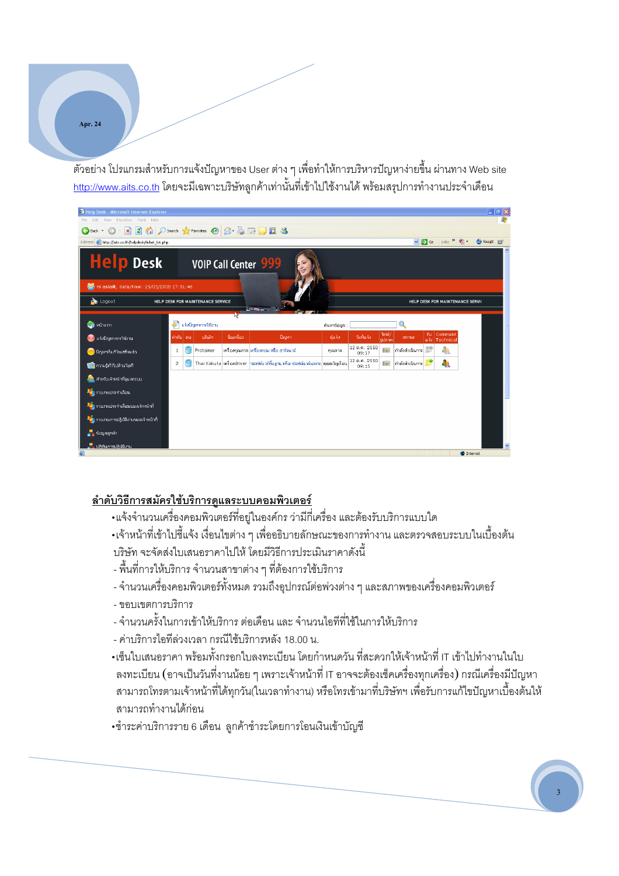Apr. 24

้ตัวอย่าง โปรแกรมสำหรับการแจ้งปัญหาของ User ต่าง ๆ เพื่อทำให้การบริหารปัญหาง่ายขึ้น ผ่านทาง Web site <u>http://www.aits.co.th</u> โดยจะมีเฉพาะบริษัทลูกค้าเท่านั้นที่เข้าไปใช้งานได้ พร้อมสรุปการทำงานประจำเดือน



#### ลำดับ<u>วิธีการสมัครใช้บริการดูแลระบบคอมพิวเตอร์</u>

- •แจ้งจำนวนเครื่องคอมพิวเตอร์ที่อยู่ในองค์กร ว่ามีกี่เครื่อง และต้องรับบริการแบบใด
- •เจ้าหน้าที่เข้าไปชี้แจ้ง เงื่อนไขต่าง ๆ เพื่ออธิบายลักษณะของการทำงาน และตรวจสอบระบบในเบื้องต้น บริษัท จะจัดส่งใบเสนอราคาไปให้ โดยมีวิธีการประเมินราคาดังนี้
- พื้นที่การให้บริการ จำนวนสาขาต่าง ๆ ที่ต้องการใช้บริการ
- จำนวนเครื่องคอมพิวเตอร์ทั้งหมด รวมถึงอุปกรณ์ต่อพ่วงต่าง ๆ และสภาพของเครื่องคอมพิวเตอร์
- ขอบเขตการบริการ
- จำนวนครั้งในการเข้าให้บริการ ต่อเดือน และ จำนวนไอทีที่ใช้ในการให้บริการ
- ค่าบริการไอทีล่วงเวลา กรณีใช้บริการหลัง 18.00 น.
- •เซ็นใบเสนอราคา พร้อมทั้งกรอกใบลงทะเบียน โดยกำหนดวัน ที่สะดวกให้เจ้าหน้าที่ IT เข้าไปทำงานในใบ ิ ลงทะเบียน (อาจเป็นวันที่งานน้อย ๆ เพราะเจ้าหน้าที่ IT อาจจะต้องเช็คเครื่องทุกเครื่อง) กรณีเครื่องมีปัญหา ี สามารถโทรตามเจ้าหน้าที่ได้ทุกวัน(ในเวลาทำงาน) หรือโทรเข้ามาที่บริษัทฯ เพื่อรับการแก้ไขปัญหาเบื้องต้นให้ สามารถทำงานได้ก่อน
- •ชำระค่าบริการราย 6 เดือน ลกค้าชำระโดยการโอนเงินเข้าบัญชี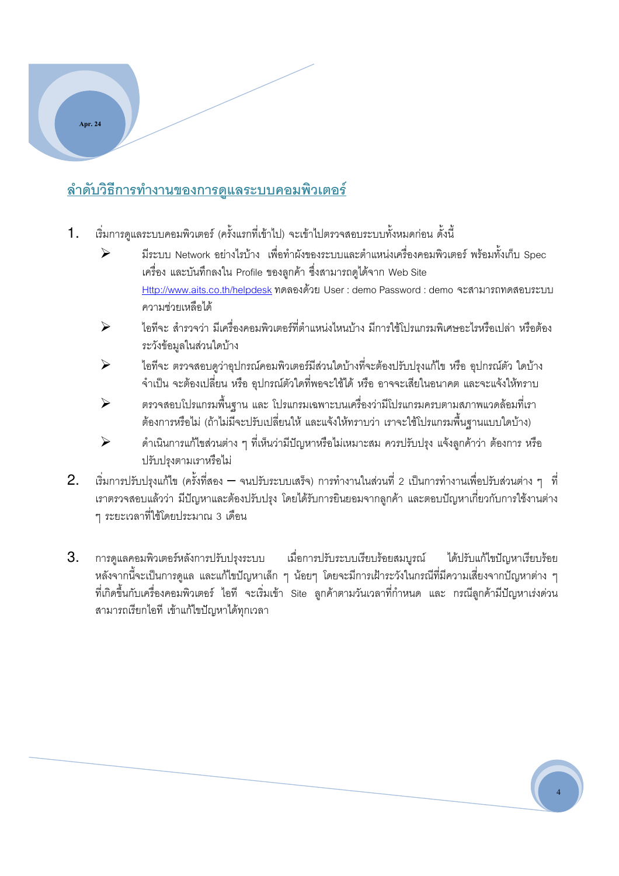### <u>ลำดับวิธีการทำงานของการดูแลระบบคอมพิวเตอร์</u>

Apr. 24

- 1. เริ่มการดูแลระบบคอมพิวเตอร์ (ครั้งแรกที่เข้าไป) จะเข้าไปตรวจสอบระบบทั้งหมดก่อน ดั้งนี้
	- $\blacktriangleright$  มีระบบ Network อย่างไรบ้าง เพื่อทำผังของระบบและตำแหน่งเครื่องคอมพิวเตอร์ พร้อมทั้งเก็บ Spec เครื่อง และบันทึกลงใน Profile ของลูกค้า ซึ่งสามารถคูได้จาก Web Site Http://www.aits.co.th/helpdesk ! User : demo Password : demo 4 ความช่วยเหลือได้
	- → ไอทีจะ สำรวจว่า มีเครื่องคอมพิวเตอร์ที่ตำแหน่งไหนบ้าง มีการใช้โปรแกรมพิเศษอะไรหรือเปล่า หรือต้อง ระวังข้อมูลในส่วนใดบ้าง
	- $\blacktriangleright$  ไอทีจะ ตรวจสอบดูว่าอุปกรณ์คอมพิวเตอร์มีส่วนใดบ้างที่จะต้องปรับปรุงแก้ไข หรือ อุปกรณ์ตัว ใดบ้าง จำเป็น จะต้องเปลี่ยน หรือ อุปกรณ์ตัวใดที่พอจะใช้ได้ หรือ อาจจะเสียในอนาคต และจะแจ้งให้ทราบ
	- 4 0+-()- +! 0+1-( 
	0+
	 
	-+! ต้องการหรือไม่ (ถ้าไม่มีจะปรับเปลี่ยนให้ และแจ้งให้ทราบว่า เราจะใช้โปรแกรมพื้นฐานแบบใดบ้าง)
	- \$
	
	+6 2 .n 
	FG.
	.( .
	 &% +4!
	 .( ปรับปรุงตามเราหรือไม่
- $2$ . เริ่มการปรับปรุงแก้ไข (ครั้งที่สอง จนปรับระบบเสร็จ) การทำงานในส่วนที่ 2 เป็นการทำงานเพื่อปรับส่วนต่าง ๆ ที่ ี่ เราตรวจสอบแล้วว่า มีปัญหาและต้องปรับปรุง โดยได้รับการยินยอมจากลูกค้า และตอบปัญหาเกี่ยวกับการใช้งานต่าง ๆ ระยะเวลาที่ใช้โดยประมาณ 3 เดือน
- $3.$  การดูแลคอมพิวเตอร์หลังการปรับปรุงระบบ เมื่อการปรับระบบเรียบร้อยสมบูรณ์ ได้ปรับแก้ไขปัญหาเรียบร้อย หลังจากนี้จะเป็นการดูแล และแก้ไขปัญหาเล็ก ๆ น้อยๆ โดยจะมีการเฝ้าระวังในกรณีที่มีความเสี่ยงจากปัญหาต่าง ๆ ที่เกิดขึ้นกับเครื่องคอมพิวเตอร์ ไอที จะเริ่มเข้า Site ลูกค้าตามวันเวลาที่กำหนด และ กรณีลูกค้ามีปัญหาเร่งด่วน สามารถเรียกไอที เข้าแก้ไขปัญหาได้ทุกเวลา

4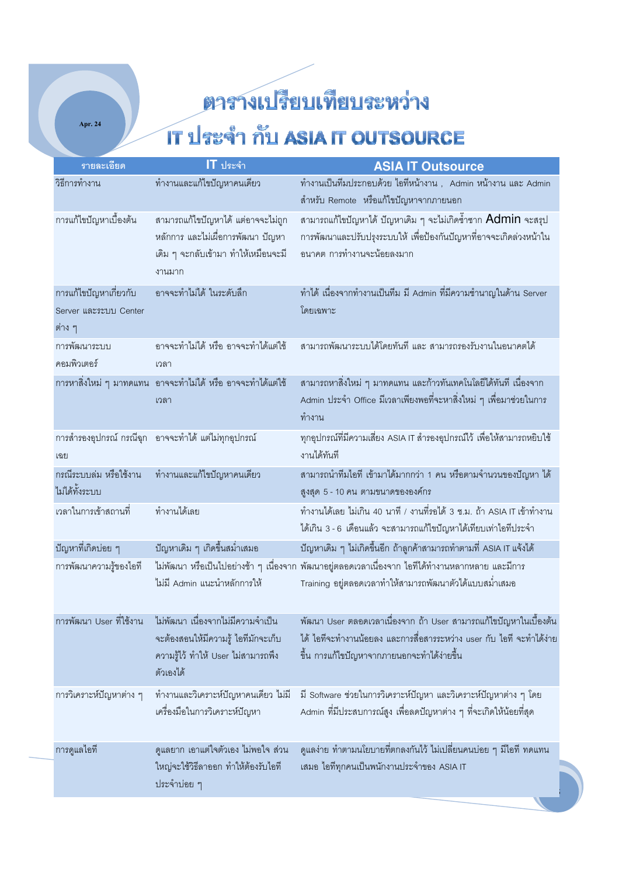Apr.  $24$ 

# ตารางเปรียบเทียบระหว่าง

## IT ประจำ กับ ASIA IT OUTSOURCE

| รายละเอียด                                                | $IT$ ประจำ                                                                                                                                               | <b>ASIA IT Outsource</b>                                                                                                                                                                 |
|-----------------------------------------------------------|----------------------------------------------------------------------------------------------------------------------------------------------------------|------------------------------------------------------------------------------------------------------------------------------------------------------------------------------------------|
| วิธีการทำงาน                                              | ทำงานและแก้ไขปัญหาคนเดียว                                                                                                                                | ทำงานเป็นทีมประกอบด้วย ไอทีหน้างาน , Admin หน้างาน และ Admin<br>้สำหรับ Remote หรือแก้ไขปัญหาจากภายนอก                                                                                   |
| การแก้ไขปัญหาเบื้องต้น                                    | สามารถแก้ไขปัญหาได้ แต่อาจจะไม่ถูก<br>หลักการ และไม่เผื่อการพัฒนา ปัญหา<br>เดิม ๆ จะกลับเข้ามา ทำให้เหมือนจะมี<br>งานมาก                                 | สามารถแก้ไขปัญหาได้ ปัญหาเดิม ๆ จะไม่เกิดซ้ำซาก Admin จะสรุป<br>การพัฒนาและปรับปรุงระบบให้ เพื่อป้องกันปัญหาที่อาจจะเกิดล่วงหน้าใน<br>้อนาคต การทำงานจะน้อยลงมาก                         |
| การแก้ไขปัญหาเกี่ยวกับ<br>Server และระบบ Center<br>ต่าง ๆ | อาจจะทำไม่ได้ ในระดับลึก                                                                                                                                 | ทำได้ เนื่องจากทำงานเป็นทีม มี Admin ที่มีความชำนาญในด้าน Server<br>โดยเฉพาะ                                                                                                             |
| การพัฒนาระบบ<br>คอมพิวเตอร์                               | อาจจะทำไม่ได้ หรือ อาจจะทำได้แต่ใช้<br>เวลา                                                                                                              | สามารถพัฒนาระบบได้โดยทันที และ สามารถรองรับงานในอนาคตได้                                                                                                                                 |
|                                                           | ึการหาสิ่งใหม่ ๆ มาทดแทน  อาจจะทำไม่ได้ หรือ อาจจะทำได้แต่ใช้<br>เวลา                                                                                    | ้สามารถหาสิ่งใหม่ ๆ มาทดแทน และก้าวทันเทคโนโลยีได้ทันที เนื่องจาก<br>Admin ประจำ Office มีเวลาเพียงพอที่จะหาสิ่งใหม่ ๆ เพื่อมาช่วยในการ<br>ทำงาน                                         |
| เฉย                                                       | การสำรองอุปกรณ์ กรณีฉุก อาจจะทำได้ แต่ไม่ทุกอุปกรณ์                                                                                                      | ทุกอุปกรณ์ที่มีความเสี่ยง ASIA IT สำรองอุปกรณ์ไว้ เพื่อให้สามารถหยิบใช้<br>งานได้ทันที                                                                                                   |
| กรณีระบบล่ม หรือใช้งาน<br>ไม่ได้ทั้งระบบ                  | ทำงานและแก้ไขปัญหาคนเดียว                                                                                                                                | สามารถนำทีมไอที เข้ามาได้มากกว่า 1 คน หรือตามจำนวนของปัญหา ได้<br>สูงสุด 5 - 10 คน ตามขนาดขององค์กร                                                                                      |
| เวลาในการเข้าสถานที่                                      | ทำงานได้เลย                                                                                                                                              | ทำงานได้เลย ไม่เกิน 40 นาที / งานที่รอได้ 3 ช.ม. ถ้า ASIA IT เข้าทำงาน<br>ได้เกิน 3 - 6 เดือนแล้ว จะสามารถแก้ไขปัญหาได้เทียบเท่าไอทีประจำ                                                |
| ปัญหาที่เกิดบ่อย ๆ                                        | ปัญหาเดิม ๆ เกิดขึ้นสม่ำเสมอ                                                                                                                             | ่ ปัญหาเดิม ๆ ไม่เกิดขึ้นอีก ถ้าลูกค้าสามารถทำตามที่ ASIA IT แจ้งได้                                                                                                                     |
| การพัฒนาความรู้ของไอที                                    | ไม่มี Admin แนะนำหลักการให้                                                                                                                              | ไม่พัฒนา หรือเป็นไปอย่างช้า ๆ เนื่องจาก พัฒนาอยู่ตลอดเวลาเนื่องจาก ไอทีได้ทำงานหลากหลาย และมีการ<br>Training อยู่ตลอดเวลาทำให้สามารถพัฒนาตัวได้แบบสม่ำเสมอ                               |
|                                                           | ี การพัฒนา User ที่ใช้งาน    ไม่พัฒนา เนื่องจากไม่มีความจำเป็น<br>จะต้องสอนให้มีความรู้ ไอทีมักจะเก็บ<br>ความรู้ไว้ ทำให้ User ไม่สามารถพึง<br>ตัวเองได้ | พัฒนา User ตลอดเวลาเนื่องจาก ถ้า User สามารถแก้ไขปัญหาในเบื้องต้น<br>ได้ ไอทีจะทำงานน้อยลง และการสื่อสารระหว่าง user กับ ไอที จะทำได้ง่าย<br>์ขึ้น การแก้ไขปัญหาจากภายนอกจะทำได้ง่ายขึ้น |
| การวิเคราะห์ปัญหาต่าง ๆ                                   | ้ทำงานและวิเคราะห์ปัญหาคนเดียว ไม่มี<br>เครื่องมือในการวิเคราะห์ปัญหา                                                                                    | มี Software ช่วยในการวิเคราะห์ปัญหา และวิเคราะห์ปัญหาต่าง ๆ โดย<br>Admin ที่มีประสบการณ์สูง เพื่อลดปัญหาต่าง ๆ ที่จะเกิดให้น้อยที่สุด                                                    |
| การดูแลไอที                                               | ้คูแลยาก เอาแต่ใจตัวเอง ไม่พอใจ ส่วน                                                                                                                     | ดูแลง่าย ทำตามนโยบายที่ตกลงกันไว้ ไม่เปลี่ยนคนบ่อย ๆ มีไอที ทดแทน                                                                                                                        |
|                                                           | ใหญ่จะใช้วิธีลาออก ทำให้ต้องรับไอที<br>ประจำบ่อย ๆ                                                                                                       | เสมอ ไอทีทุกคนเป็นพนักงานประจำของ ASIA IT                                                                                                                                                |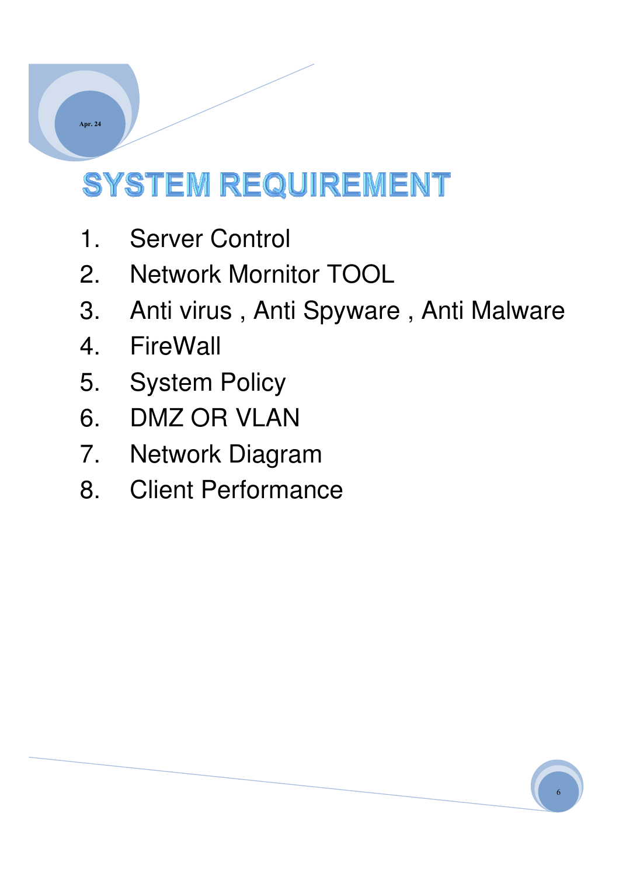# **SYSTEM REQUIREMENT**

- 1. Server Control
- 2. Network Mornitor TOOL
- 3. Anti virus , Anti Spyware , Anti Malware
- 4. FireWall
- 5. System Policy
- 6. DMZ OR VLAN
- 7. Network Diagram
- 8. Client Performance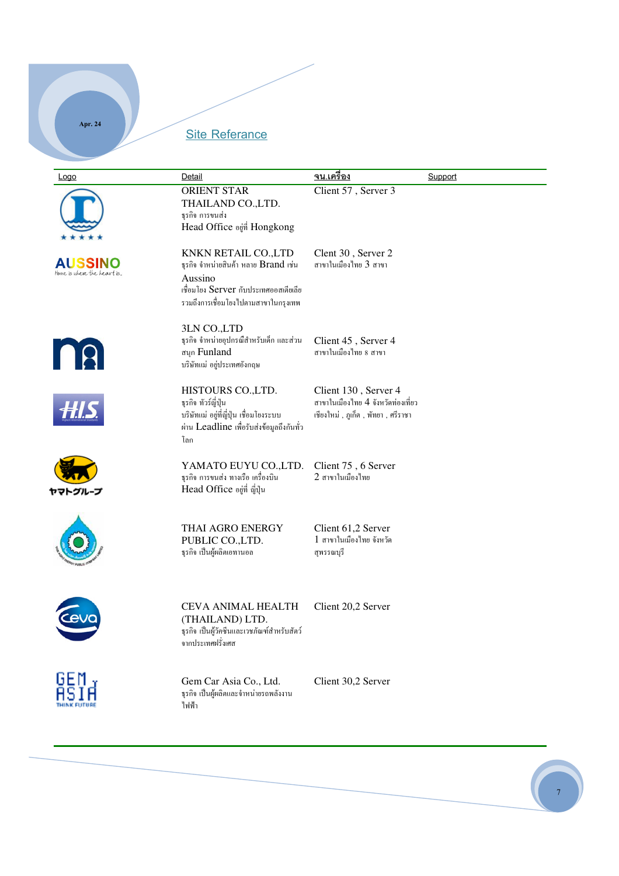#### Site Referance

Apr. 24

| Logo                                         | Detail                                                                                                                                                   | <u>จน.เครื่อง</u>                                                                                     | Support |
|----------------------------------------------|----------------------------------------------------------------------------------------------------------------------------------------------------------|-------------------------------------------------------------------------------------------------------|---------|
|                                              | ORIENT STAR<br>THAILAND CO., LTD.<br>ธุรกิจ การขนส่ง<br>Head Office อยู่ที่ Hongkong                                                                     | Client 57, Server 3                                                                                   |         |
| <b>AUSSINO</b><br>Home is where the heart is | KNKN RETAIL CO., LTD<br>ธุรกิจ จำหน่ายสินค้า หลาย Brand เช่น<br>Aussino<br>เชื่อมโยง Server กับประเทศออสเตียเลีย<br>รวมถึงการเชื่อมโยงไปตามสาขาในกรุงเทพ | Clent 30, Server 2<br>สาขาในเมืองไทย 3 สาขา                                                           |         |
| <b>n</b>                                     | 3LN CO.,LTD<br>ฐรกิจ จำหน่ายอุปกรณีสำหรับเด็ก และส่วน<br>สนุก Funland<br>บริษัทแม่ อยู่ประเทศอังกฤษ                                                      | Client 45, Server 4<br>ี่ สาขาในเมืองไทย 8 สาขา                                                       |         |
|                                              | HISTOURS CO., LTD.<br>ฐรกิจ ทัวร์ญี่ปุ่น<br>บริษัทแม่ อยู่ที่ญี่ปุ่น เชื่อมโยงระบบ<br>ผ่าน Leadline เพื่อรับส่งข้อมูลถึงกันทั่ว<br>โลก                   | Client 130, Server 4<br>ี่สาขาในเมืองไทย 4 จังหวัดท่องเที่ยว<br>เชียงใหม่ , ภูเกี๋ต , พัทยา , ศรีราชา |         |
| ヤマトグループ                                      | YAMATO EUYU CO.,LTD.<br>ฐรกิจ การขนส่ง ทางเรือ เครื่องบิน<br>Head Office อยู่ที่ ญี่ปุ่น                                                                 | Client 75, 6 Server<br>2 สาขาในเมืองไทย                                                               |         |
|                                              | THAI AGRO ENERGY<br>PUBLIC CO., LTD.<br>ฐรกิจ เป็นผู้ผลิตเอทานอล                                                                                         | Client 61,2 Server<br>1 สาขาในเมืองไทย จังหวัด<br>สุพรรณบุรี                                          |         |
|                                              | <b>CEVA ANIMAL HEALTH</b><br>(THAILAND) LTD.<br>ฐรกิจ เป็นผู้วัคซีนและเวชภัณฑ์สำหรับสัตว์<br>จากประเทศฝรั่งเศส                                           | Client 20,2 Server                                                                                    |         |
|                                              | Gem Car Asia Co., Ltd.<br>ฐรกิจ เป็นผู้ผลิตและจำหน่ายรถพลังงาน<br>ไฟฟ้า                                                                                  | Client 30,2 Server                                                                                    |         |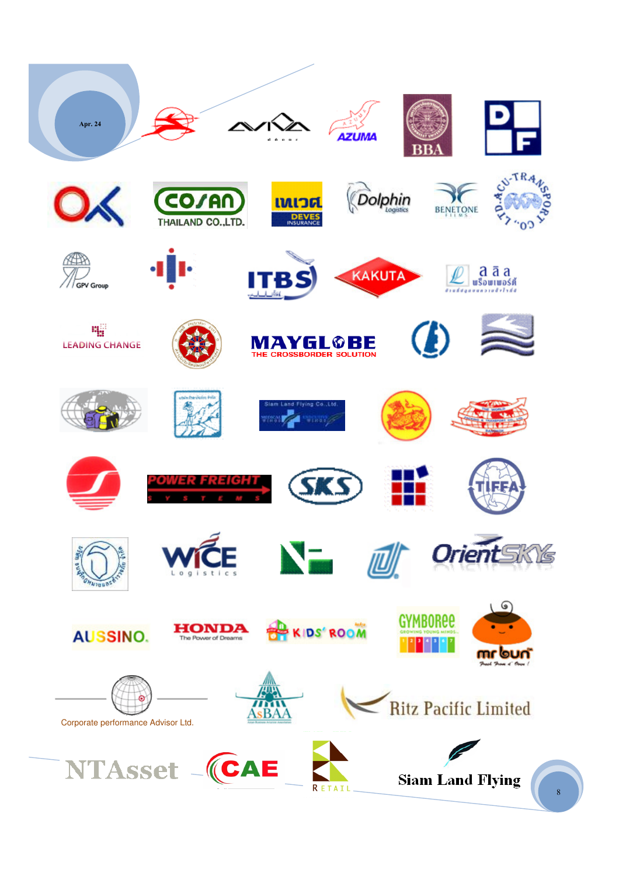